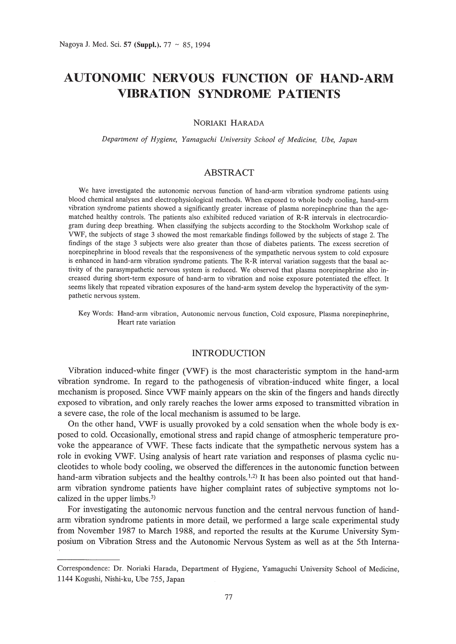# **AUTONOMIC NERVOUS FUNCTION OF HAND-ARM VIBRATION SYNDROME PATIENTS**

NORIAKI HARADA

*Department of Hygiene, Yamaguchi University School of Medicine, Ube, Japan*

## ABSTRACT

We have investigated the autonomic nervous function of hand-arm vibration syndrome patients using blood chemical analyses and electrophysiological methods. When exposed to whole body cooling, hand-arm vibration syndrome patients showed a significantly greater increase of plasma norepinephrine than the agematched healthy controls. The patients also exhibited reduced variation of R-R intervals in electrocardiogram during deep breathing. When classifying the subjects according to the Stockholm Workshop scale of VWF, the subjects of stage 3 showed the most remarkable findings followed by the subjects of stage 2. The findings of the stage 3 subjects were also greater than those of diabetes patients. The excess secretion of norepinephrine in blood reveals that the responsiveness of the sympathetic nervous system to cold exposure is enhanced in hand-arm vibration syndrome patients. The R-R interval variation suggests that the basal activity of the parasympathetic nervous system is reduced. We observed that plasma norepinephrine also increased during short-term exposure of hand-arm to vibration and noise exposure potentiated the effect. It seems likely that repeated vibration exposures of the hand-arm system develop the hyperactivity of the sympathetic nervous system.

Key Words: Hand-arm vibration, Autonomic nervous function, Cold exposure, Plasma norepinephrine, Heart rate variation

## INTRODUCTION

Vibration induced-white finger (VWF) is the most characteristic symptom in the hand-arm vibration syndrome. In regard to the pathogenesis of vibration-induced white finger, a local mechanism is proposed. Since VWF mainly appears on the skin of the fingers and hands directly exposed to vibration, and only rarely reaches the lower arms exposed to transmitted vibration in a severe case, the role of the local mechanism is assumed to be large.

On the other hand, VWF is usually provoked by a cold sensation when the whole body is exposed to cold. Occasionally, emotional stress and rapid change of atmospheric temperature provoke the appearance of VWF. These facts indicate that the sympathetic nervous system has a role in evoking VWF. Using analysis of heart rate variation and responses of plasma cyclic nucleotides to whole body cooling, we observed the differences in the autonomic function between hand-arm vibration subjects and the healthy controls.<sup>1,2)</sup> It has been also pointed out that handarm vibration syndrome patients have higher complaint rates of subjective symptoms not localized in the upper limbs.3)

For investigating the autonomic nervous function and the central nervous function of handarm vibration syndrome patients in more detail, we performed a large scale experimental study from November 1987 to March 1988, and reported the results at the Kurume University Symposium on Vibration Stress and the Autonomic Nervous System as well as at the 5th Interna-

Correspondence: Dr. Noriaki Harada, Department of Hygiene, Yamaguchi University School of Medicine, 1144 Kogushi, Nishi-ku, Ube 755, Japan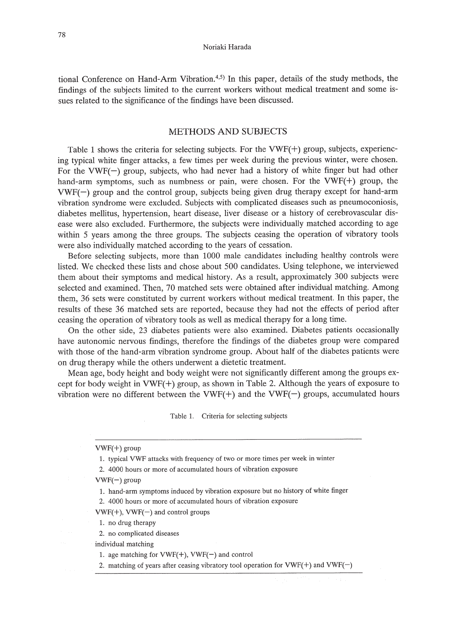tional Conference on Hand-Arm Vibration. $4,5$  In this paper, details of the study methods, the findings of the subjects limited to the current workers without medical treatment and some issues related to the significance of the findings have been discussed.

# METHODS AND SUBJECTS

Table 1 shows the criteria for selecting subjects. For the VWF(+) group, subjects, experiencing typical white finger attacks, a few times per week during the previous winter, were chosen. For the VWF $(-)$  group, subjects, who had never had a history of white finger but had other hand-arm symptoms, such as numbness or pain, were chosen. For the VWF(+) group, the  $VWF(-)$  group and the control group, subjects being given drug therapy except for hand-arm vibration syndrome were excluded. Subjects with complicated diseases such as pneumoconiosis, diabetes mellitus, hypertension, heart disease, liver disease or a history of cerebrovascular disease were also excluded. Furthermore, the subjects were individually matched according to age within 5 years among the three groups. The subjects ceasing the operation of vibratory tools were also individually matched according to the years of cessation.

Before selecting subjects, more than 1000 male candidates including healthy controls were listed. We checked these lists and chose about 500 candidates. Using telephone, we interviewed them about their symptoms and medical history. As a result, approximately 300 subjects were selected and examined. Then, 70 matched sets were obtained after individual matching. Among them, 36 sets were constituted by current workers without medical treatment. In this paper, the results of these 36 matched sets are reported, because they had not the effects of period after ceasing the operation of vibratory tools as well as medical therapy for a long time.

On the other side, 23 diabetes patients were also examined. Diabetes patients occasionally have autonomic nervous findings, therefore the findings of the diabetes group were compared with those of the hand-arm vibration syndrome group. About half of the diabetes patients were on drug therapy while the others underwent a dietetic treatment.

Mean age, body height and body weight were not significantly different among the groups except for body weight in  $VWF(+)$  group, as shown in Table 2. Although the years of exposure to vibration were no different between the VWF $(+)$  and the VWF $(-)$  groups, accumulated hours

Table 1. Criteria for selecting subjects

#### VWF(+) group

1. typical VWF attacks with frequency of two or more times per week in winter

2. 4000 hours or more of accumulated hours of vibration exposure

 $VWF(-)$  group

1. hand-arm symptoms induced by vibration exposure but no history of white finger

2. 4000 hours or more of accumulated hours of vibration exposure

 $VWF(+)$ ,  $VWF(-)$  and control groups

1. no drug therapy

2. no complicated diseases

individual matching

1. age matching for  $VWF(+)$ ,  $VWF(-)$  and control

2. matching of years after ceasing vibratory tool operation for VWF(+) and VWF(-)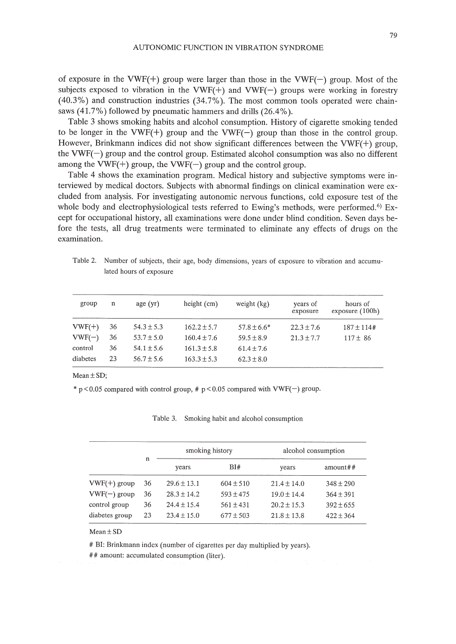of exposure in the VWF(+) group were larger than those in the VWF(-) group. Most of the subjects exposed to vibration in the VWF(+) and VWF(-) groups were working in forestry (40.3%) and construction industries (34.7%). The most common tools operated were chainsaws (41.7%) followed by pneumatic hammers and drills (26.4%).

Table 3 shows smoking habits and alcohol consumption. History of cigarette smoking tended to be longer in the VWF $(+)$  group and the VWF $(-)$  group than those in the control group. However, Brinkmann indices did not show significant differences between the VWF(+) group, the VWF(-) group and the control group. Estimated alcohol consumption was also no different among the VWF(+) group, the VWF(-) group and the control group.

Table 4 shows the examination program. Medical history and subjective symptoms were interviewed by medical doctors. Subjects with abnormal findings on clinical examination were excluded from analysis. For investigating autonomic nervous functions, cold exposure test of the whole body and electrophysiological tests referred to Ewing's methods, were performed.<sup>6)</sup> Except for occupational history, all examinations were done under blind condition. Seven days before the tests, all drug treatments were terminated to eliminate any effects of drugs on the examination.

| group    | n  | age(yr)        | height $(cm)$   | weight $(kg)$  | years of<br>exposure | hours of<br>exposure $(100h)$ |
|----------|----|----------------|-----------------|----------------|----------------------|-------------------------------|
| $VWF(+)$ | 36 | $54.3 \pm 5.3$ | $162.2 \pm 5.7$ | $57.8 + 6.6*$  | $22.3 \pm 7.6$       | $187 \pm 114$ #               |
| $VWF(-)$ | 36 | $53.7 + 5.0$   | $160.4 \pm 7.6$ | $59.5 + 8.9$   | $21.3 \pm 7.7$       | $117 \pm 86$                  |
| control  | 36 | $54.1 + 5.6$   | $161.3 + 5.8$   | $61.4 \pm 7.6$ |                      |                               |
| diabetes | 23 | $56.7 + 5.6$   | $163.3 + 5.3$   | $62.3 \pm 8.0$ |                      |                               |

Table 2. Number of subjects, their age, body dimensions, years of exposure to vibration and accumulated hours of exposure

Mean  $\pm$  SD;

\*  $p < 0.05$  compared with control group, #  $p < 0.05$  compared with VWF(-) group.

|                |    | smoking history |               | alcohol consumption |               |  |
|----------------|----|-----------------|---------------|---------------------|---------------|--|
|                | n  | years           | BI#           | years               | amount#       |  |
| $VWF(+)$ group | 36 | $29.6 \pm 13.1$ | $604 \pm 510$ | $21.4 + 14.0$       | $348 \pm 290$ |  |
| $VWF(-)$ group | 36 | $28.3 \pm 14.2$ | $593 + 475$   | $19.0 + 14.4$       | $364 + 391$   |  |
| control group  | 36 | $24.4 + 15.4$   | $561 + 431$   | $20.2 \pm 15.3$     | $392 + 655$   |  |
| diabetes group | 23 | $23.4 + 15.0$   | $677 \pm 503$ | $21.8 \pm 13.8$     | $422 + 364$   |  |

#### Table 3. Smoking habit and alcohol consumption

### Mean±SD

# BI: Brinkmann index (number of cigarettes per day multiplied by years).

## amount: accumulated consumption (liter).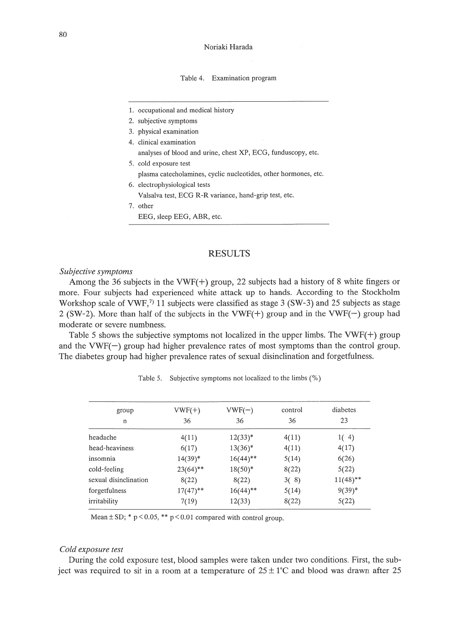#### Table 4. Examination program

- 1. occupational and medical history
- 2. subjective symptoms
- 3. physical examination
- 4. clinical examination analyses of blood and urine, chest XP, ECG, funduscopy, etc.
- 5. cold exposure test
- plasma catecholamines, cyclic nucleotides, other hormones, etc.
- 6. electrophysiological tests

Valsalva test, ECG R-R variance, hand-grip test, etc.

- 7. other
	- EEG, sleep EEG, ABR, etc.

## RESULTS

## *Subjective symptoms*

Among the 36 subjects in the VWF(+) group, 22 subjects had a history of 8 white fingers or more. Four subjects had experienced white attack up to hands. According to the Stockholm Workshop scale of VWF,<sup>7)</sup> 11 subjects were classified as stage 3 (SW-3) and 25 subjects as stage 2 (SW-2). More than half of the subjects in the VWF(+) group and in the VWF(-) group had moderate or severe numbness.

Table 5 shows the subjective symptoms not localized in the upper limbs. The  $VWF(+)$  group and the  $VWF(-)$  group had higher prevalence rates of most symptoms than the control group. The diabetes group had higher prevalence rates of sexual disinclination and forgetfulness.

| group<br>n            | $VWF(+)$<br>36 | $VWF(-)$<br>36 | control<br>36 | diabetes<br>23 |  |
|-----------------------|----------------|----------------|---------------|----------------|--|
| headache              | 4(11)          | $12(33)^*$     | 4(11)         | 1(4)           |  |
| head-heaviness        | 6(17)          | $13(36)^*$     | 4(11)         | 4(17)          |  |
| insomnia              | $14(39)^*$     | $16(44)$ **    | 5(14)         | 6(26)          |  |
| cold-feeling          | $23(64)$ **    | $18(50)^*$     | 8(22)         | 5(22)          |  |
| sexual disinclination | 8(22)          | 8(22)          | 3(8)          | $11(48)$ **    |  |
| forgetfulness         | $17(47)$ **    | $16(44)$ **    | 5(14)         | $9(39)^*$      |  |
| irritability          | 7(19)          | 12(33)         | 8(22)         | 5(22)          |  |

Table 5. Subjective symptoms not localized to the limbs (%)

Mean  $\pm$  SD; \* p < 0.05, \*\* p < 0.01 compared with control group.

#### *Cold exposure test*

During the cold exposure test, blood samples were taken under two conditions. First, the subject was required to sit in a room at a temperature of  $25 \pm 1^{\circ}$ C and blood was drawn after 25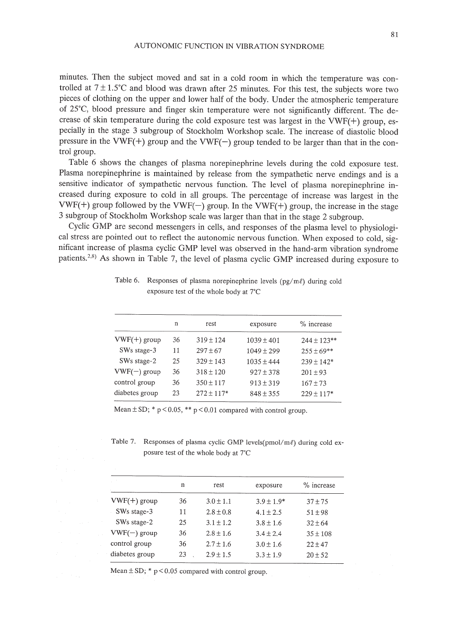minutes. Then the subject moved and sat in a cold room in which the temperature was controlled at  $7 \pm 1.5^{\circ}$ C and blood was drawn after 25 minutes. For this test, the subjects wore two pieces of clothing on the upper and lower half of the body. Under the atmospheric temperature of 25'C, blood pressure and finger skin temperature were not significantly different. The decrease of skin temperature during the cold exposure test was largest in the VWF(+) group, especially in the stage 3 subgroup of Stockholm Workshop scale. The increase of diastolic blood pressure in the VWF(+) group and the VWF(-) group tended to be larger than that in the control group.

Table 6 shows the changes of plasma norepinephrine levels during the cold exposure test. Plasma norepinephrine is maintained by release from the sympathetic nerve endings and is a sensitive indicator of sympathetic nervous function. The level of plasma norepinephrine increased during exposure to cold in all groups. The percentage of increase was largest in the VWF(+) group followed by the VWF(-) group. In the VWF(+) group, the increase in the stage 3 subgroup of Stockholm Workshop scale was larger than that in the stage 2 subgroup.

Cyclic GMP are second messengers in cells, and responses of the plasma level to physiological stress are pointed out to reflect the autonomic nervous function. When exposed to cold, significant increase of plasma cyclic GMP level was observed in the hand-arm vibration syndrome patients.<sup>2,8)</sup> As shown in Table 7, the level of plasma cyclic GMP increased during exposure to

|                | n  | rest           | exposure       | % increase       |  |
|----------------|----|----------------|----------------|------------------|--|
| $VWF(+)$ group | 36 | $319 + 124$    | $1039 \pm 401$ | $244 \pm 123$ ** |  |
| SWs stage-3    | 11 | $297 + 67$     | $1049 + 299$   | $255 \pm 69$ **  |  |
| SWs stage-2    | 25 | $329 + 143$    | $1035 + 444$   | $239 \pm 142^*$  |  |
| $VWF(-)$ group | 36 | $318 \pm 120$  | $927 \pm 378$  | $201 \pm 93$     |  |
| control group  | 36 | $350 \pm 117$  | $913 \pm 319$  | $167 + 73$       |  |
| diabetes group | 23 | $272 \pm 117*$ | $848 \pm 355$  | $229 \pm 117*$   |  |

Table 6. Responses of plasma norepinephrine levels  $(pg/m\ell)$  during cold exposure test of the whole body at 7'C

Mean  $\pm$  SD; \* p < 0.05, \*\* p < 0.01 compared with control group.

Table 7. Responses of plasma cyclic GMP levels( $pmol/m\ell$ ) during cold exposure test of the whole body at 7°C

|                | n  | rest          | exposure       | % increase   |
|----------------|----|---------------|----------------|--------------|
| $VWF(+)$ group | 36 | $3.0 \pm 1.1$ | $3.9 \pm 1.9*$ | $37 + 75$    |
| SWs stage-3    | 11 | $2.8 \pm 0.8$ | $4.1 + 2.5$    | $51 \pm 98$  |
| SWs stage-2    | 25 | $3.1 + 1.2$   | $3.8 + 1.6$    | $32 \pm 64$  |
| $VWF(-)$ group | 36 | $2.8 \pm 1.6$ | $3.4 + 2.4$    | $35 \pm 108$ |
| control group  | 36 | $2.7 \pm 1.6$ | $3.0 \pm 1.6$  | $22 \pm 47$  |
| diabetes group | 23 | $2.9 + 1.5$   | $3.3 \pm 1.9$  | $20 \pm 52$  |
|                |    |               |                |              |

Mean  $\pm$  SD; \* p < 0.05 compared with control group.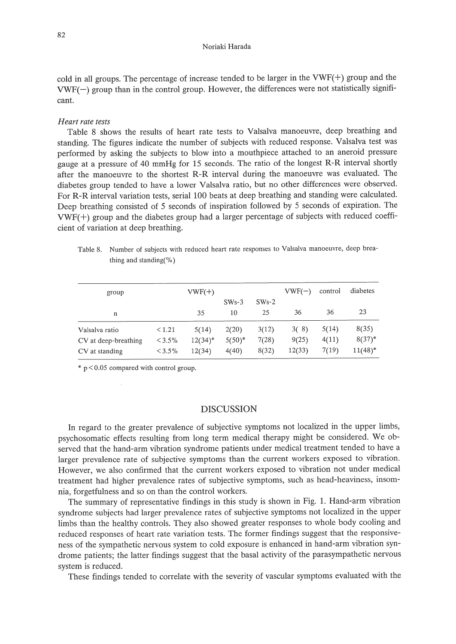#### Noriaki Harada

cold in all groups. The percentage of increase tended to be larger in the VWF(+) group and the  $VWF(-)$  group than in the control group. However, the differences were not statistically significant.

## *Heart rate tests*

Table 8 shows the results of heart rate tests to Valsalva manoeuvre, deep breathing and standing. The figures indicate the number of subjects with reduced response. Valsalva test was performed by asking the subjects to blow into a mouthpiece attached to an aneroid pressure gauge at a pressure of 40 mmHg for 15 seconds. The ratio of the longest R-R interval shortly after the manoeuvre to the shortest R-R interval during the manoeuvre was evaluated. The diabetes group tended to have a lower Valsalva ratio, but no other differences were observed. For R-R interval variation tests, serial 100 beats at deep breathing and standing were calculated. Deep breathing consisted of 5 seconds of inspiration followed by 5 seconds of expiration. The VWF(+) group and the diabetes group had a larger percentage of subjects with reduced coefficient of variation at deep breathing.

Table 8. Number of subjects with reduced heart rate responses to Valsalva manoeuvre, deep breathing and standing(%)

| group                       |           | $VWF(+)$   |           |         | $VWF(-)$ | control | diabetes   |
|-----------------------------|-----------|------------|-----------|---------|----------|---------|------------|
|                             |           |            | $SWs-3$   | $SWs-2$ |          |         |            |
| n                           |           | 35         | 10        | 25      | 36       | 36      | 23         |
| < 1.21<br>Valsalva ratio    |           | 5(14)      | 2(20)     | 3(12)   | 3(8)     | 5(14)   | 8(35)      |
| CV at deep-breathing        | $< 3.5\%$ | $12(34)^*$ | $5(50)^*$ | 7(28)   | 9(25)    | 4(11)   | $8(37)^*$  |
| $< 3.5\%$<br>CV at standing |           | 12(34)     | 4(40)     | 8(32)   | 12(33)   | 7(19)   | $11(48)^*$ |

 $*$  p < 0.05 compared with control group.

# DISCUSSION

In regard to the greater prevalence of subjective symptoms not localized in the upper limbs, psychosomatic effects resulting from long term medical therapy might be considered. We observed that the hand-arm vibration syndrome patients under medical treatment tended to have a larger prevalence rate of subjective symptoms than the current workers exposed to vibration. However, we also confirmed that the current workers exposed to vibration not under medical treatment had higher prevalence rates of subjective symptoms, such as head-heaviness, insomnia, forgetfulness and so on than the control workers.

The summary of representative findings in this study is shown in Fig. 1. Hand-arm vibration syndrome subjects had larger prevalence rates of subjective symptoms not localized in the upper limbs than the healthy controls. They also showed greater responses to whole body cooling and reduced responses of heart rate variation tests. The former findings suggest that the responsiveness of the sympathetic nervous system to cold exposure is enhanced in hand-arm vibration syndrome patients; the latter findings suggest that the basal activity of the parasympathetic nervous system is reduced.

These findings tended to correlate with the severity of vascular symptoms evaluated with the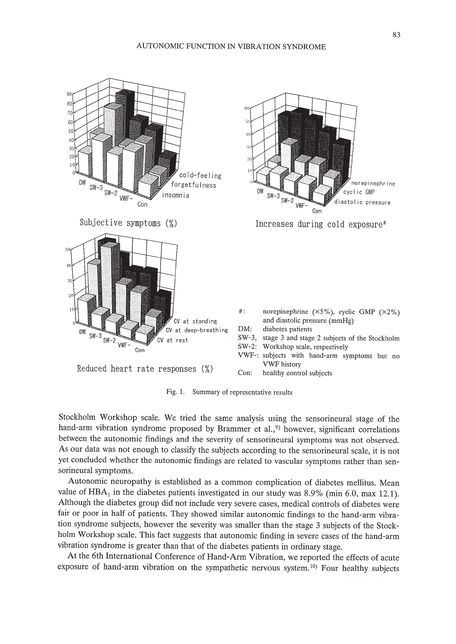

Fig. 1. Summary of representative results

Stockholm Workshop scale. We tried the same analysis using the sensorineural stage of the hand-arm vibration syndrome proposed by Brammer et al.,<sup>9</sup>) however, significant correlations between the autonomic findings and the severity of sensorineural symptoms was not observed. As our data was not enough to classify the subjects according to the sensorineural scale, it is not yet concluded whether the autonomic findings are related to vascular symptoms rather than sensorineural symptoms.

Autonomic neuropathy is established as a common complication of diabetes mellitus. Mean value of  $HBA<sub>1</sub>$  in the diabetes patients investigated in our study was 8.9% (min 6.0, max 12.1). Although the diabetes group did not include very severe cases, medical controls of diabetes were fair or poor in half of patients. They showed similar autonomic findings to the hand-arm vibration syndrome subjects, however the severity was smaller than the stage 3 subjects of the Stockholm Workshop scale. This fact suggests that autonomic finding in severe cases of the hand-arm vibration syndrome is greater than that of the diabetes patients in ordinary stage.

At the 6th International Conference of Hand-Arm Vibration, we reported the effects of acute exposure of hand-arm vibration on the sympathetic nervous system.<sup>10</sup> Four healthy subjects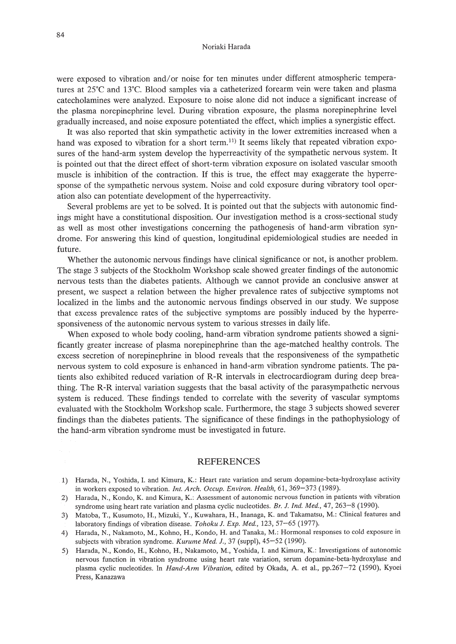#### Noriaki Harada

were exposed to vibration and/or noise for ten minutes under different atmospheric temperatures at 25°C and 13°C. Blood samples via a catheterized forearm vein were taken and plasma catecholamines were analyzed. Exposure to noise alone did not induce a significant increase of the plasma norepinephrine level. During vibration exposure, the plasma norepinephrine level gradually increased, and noise exposure potentiated the effect, which implies a synergistic effect.

It was also reported that skin sympathetic activity in the lower extremities increased when a hand was exposed to vibration for a short term.<sup>11)</sup> It seems likely that repeated vibration exposures of the hand-arm system develop the hyperreactivity of the sympathetic nervous system. It is pointed out that the direct effect of short-term vibration exposure on isolated vascular smooth muscle is inhibition of the contraction. If this is true, the effect may exaggerate the hyperresponse of the sympathetic nervous system. Noise and cold exposure during vibratory tool operation also can potentiate development of the hyperreactivity.

Several problems are yet to be solved. It is pointed out that the subjects with autonomic findings might have a constitutional disposition. Our investigation method is a cross-sectional study as well as most other investigations concerning the pathogenesis of hand-arm vibration syndrome. For answering this kind of question, longitudinal epidemiological studies are needed in future.

Whether the autonomic nervous findings have clinical significance or not, is another problem. The stage 3 subjects of the Stockholm Workshop scale showed greater findings of the autonomic nervous tests than the diabetes patients. Although we cannot provide an conclusive answer at present, we suspect a relation between the higher prevalence rates of subjective symptoms not localized in the limbs and the autonomic nervous findings observed in our study. We suppose that excess prevalence rates of the subjective symptoms are possibly induced by the hyperresponsiveness of the autonomic nervous system to various stresses in daily life.

When exposed to whole body cooling, hand-arm vibration syndrome patients showed a significantly greater increase of plasma norepinephrine than the age-matched healthy controls. The excess secretion of norepinephrine in blood reveals that the responsiveness of the sympathetic nervous system to cold exposure is enhanced in hand-arm vibration syndrome patients. The patients also exhibited reduced variation of R-R intervals in electrocardiogram during deep breathing. The R-R interval variation suggests that the basal activity of the parasympathetic nervous system is reduced. These findings tended to correlate with the severity of vascular symptoms evaluated with the Stockholm Workshop scale. Furthermore, the stage 3 subjects showed severer findings than the diabetes patients. The significance of these findings in the pathophysiology of the hand-arm vibration syndrome must be investigated in future.

## REFERENCES

- 2) Harada, N., Kondo, K. and Kimura, K.: Assessment of autonomic nervous function in patients with vibration syndrome using heart rate variation and plasma cyclic nucleotides. *Br.* J. *Ind. Med.,* 47, 263-8 (1990).
- 3) Matoba, T., Kusumoto, H., Mizuki, Y, Kuwahara, H., Inanaga, K. and Takamatsu, M.: Clinical features and laboratory findings of vibration disease. *Tohoku* J. *Exp. Med.,* 123,57-65 (1977).
- 4) Harada, N., Nakamoto, M., Kohno, H., Kondo, H. and Tanaka, M.: Hormonal responses to cold exposure in subjects with vibration syndrome. *Kurume Med.* J., 37 (suppl), 45-52 (1990).
- 5) Harada, N., Kondo, H., Kohno, H., Nakamoto, M., Yoshida, 1. and Kimura, K.: Investigations of autonomic nervous function in vibration syndrome using heart rate variation, serum dopamine-beta-hydroxylase and plasma cyclic nucleotides. In *Hand-Arm Vibration*, edited by Okada, A. et al., pp.267-72 (1990), Kyoei Press, Kanazawa

<sup>1)</sup> Harada, N., Yoshida, 1. and Kimura, K.: Heart rate variation and serum dopamine-beta-hydroxylase activity in workers exposed to vibration. *Int. Arch. Occup. Environ. Health,* 61, 369-373 (1989).